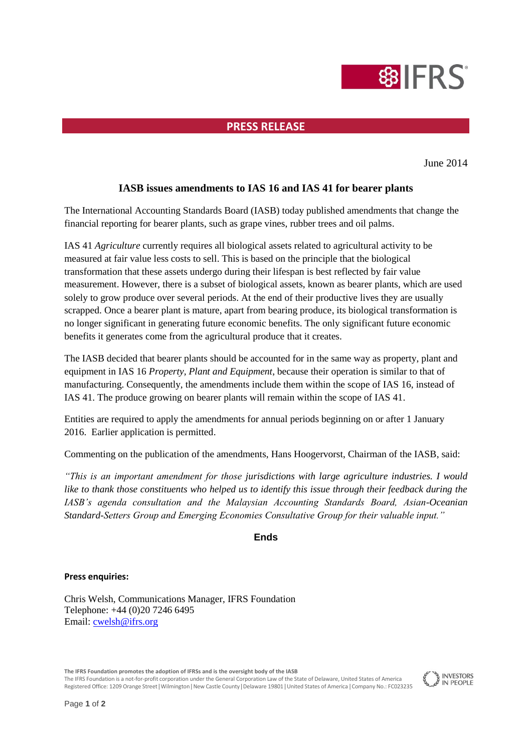# **SILLERS**

## **PRESS RELEASE**

June 2014

## **IASB issues amendments to IAS 16 and IAS 41 for bearer plants**

The International Accounting Standards Board (IASB) today published amendments that change the financial reporting for bearer plants, such as grape vines, rubber trees and oil palms.

IAS 41 *Agriculture* currently requires all biological assets related to agricultural activity to be measured at fair value less costs to sell. This is based on the principle that the biological transformation that these assets undergo during their lifespan is best reflected by fair value measurement. However, there is a subset of biological assets, known as bearer plants, which are used solely to grow produce over several periods. At the end of their productive lives they are usually scrapped. Once a bearer plant is mature, apart from bearing produce, its biological transformation is no longer significant in generating future economic benefits. The only significant future economic benefits it generates come from the agricultural produce that it creates.

The IASB decided that bearer plants should be accounted for in the same way as property, plant and equipment in IAS 16 *Property, Plant and Equipment*, because their operation is similar to that of manufacturing. Consequently, the amendments include them within the scope of IAS 16, instead of IAS 41. The produce growing on bearer plants will remain within the scope of IAS 41.

Entities are required to apply the amendments for annual periods beginning on or after 1 January 2016. Earlier application is permitted.

Commenting on the publication of the amendments, Hans Hoogervorst, Chairman of the IASB, said:

*"This is an important amendment for those jurisdictions with large agriculture industries. I would like to thank those constituents who helped us to identify this issue through their feedback during the IASB's agenda consultation and the Malaysian Accounting Standards Board, Asian-Oceanian Standard-Setters Group and Emerging Economies Consultative Group for their valuable input."*

### **Ends**

#### **Press enquiries:**

Chris Welsh, Communications Manager, IFRS Foundation Telephone: +44 (0)20 7246 6495 Email: [cwelsh@ifrs.org](mailto:cwelsh@ifrs.org) 

**The IFRS Foundation promotes the adoption of IFRSs and is the oversight body of the IASB**

The IFRS Foundation is a not-for-profit corporation under the General Corporation Law of the State of Delaware, United States of America Registered Office: 1209 Orange Street | Wilmington | New Castle County | Delaware 19801 | United States of America | Company No.: FC023235